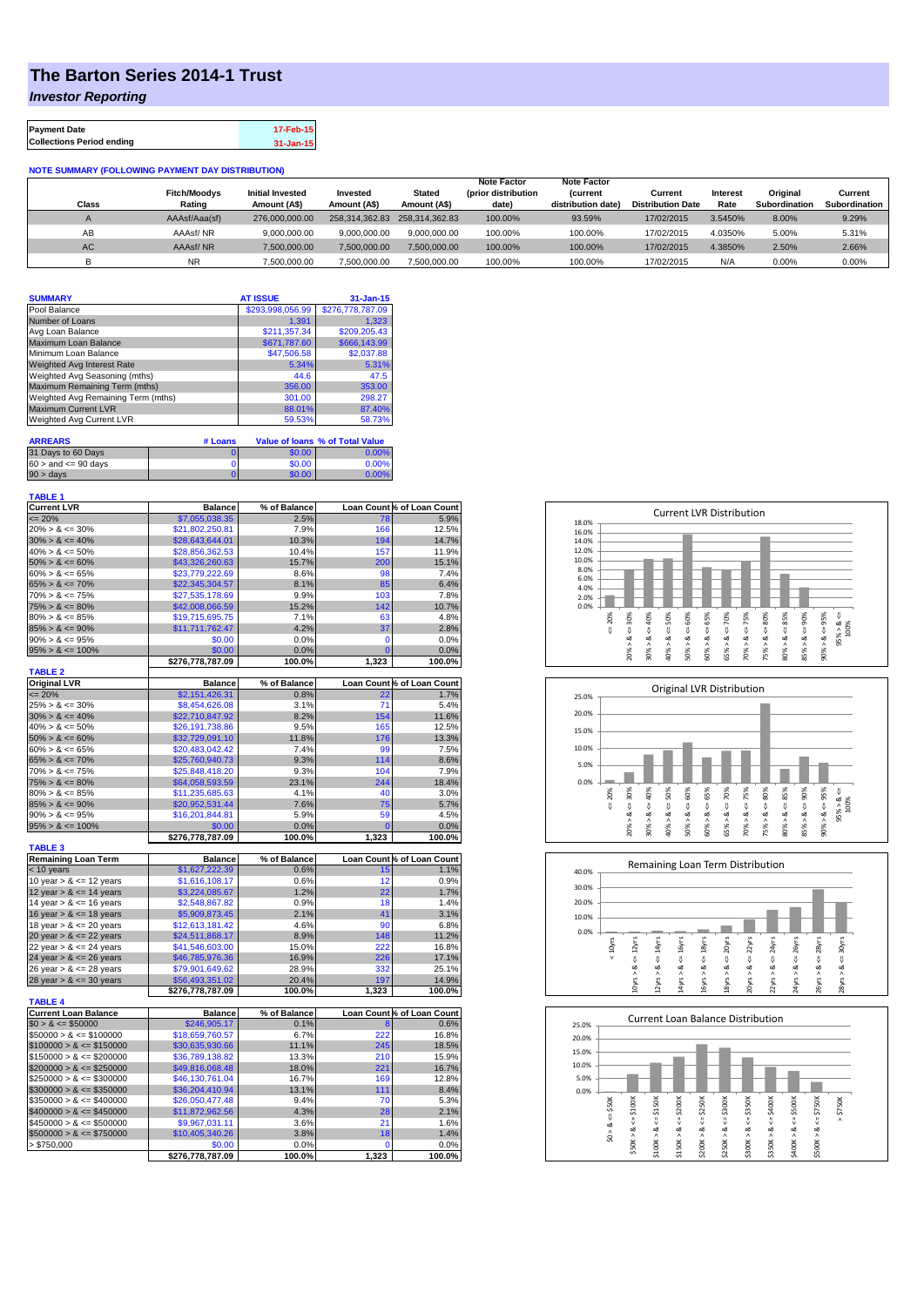## **The Barton Series 2014-1 Trust**

*Investor Reporting*

| <b>Payment Date</b>              | 17-Feb-15     |
|----------------------------------|---------------|
| <b>Collections Period ending</b> | $31 - Jan-15$ |

**NOTE SUMMARY (FOLLOWING PAYMENT DAY DISTRIBUTION)**

| Class     | <b>Fitch/Moodvs</b><br>Rating | <b>Initial Invested</b><br>Amount (A\$) | Invested<br>Amount (A\$) | <b>Stated</b><br>Amount (A\$) | <b>Note Factor</b><br>(prior distribution<br>date) | <b>Note Factor</b><br><b>Current</b><br>distribution date) | Current<br><b>Distribution Date</b> | Interest<br>Rate | Original<br>Subordination | Current<br>Subordination |
|-----------|-------------------------------|-----------------------------------------|--------------------------|-------------------------------|----------------------------------------------------|------------------------------------------------------------|-------------------------------------|------------------|---------------------------|--------------------------|
|           | AAAsf/Aaa(sf)                 | 276,000,000,00                          |                          | 258,314,362.83 258,314,362.83 | 100.00%                                            | 93.59%                                                     | 17/02/2015                          | 3.5450%          | 8.00%                     | 9.29%                    |
| AB        | AAAsf/NR                      | 9.000.000.00                            | 9.000.000.00             | 9.000.000.00                  | 100.00%                                            | 100.00%                                                    | 17/02/2015                          | 4.0350%          | 5.00%                     | 5.31%                    |
| <b>AC</b> | AAAsf/NR                      | 7.500.000.00                            | 7.500.000.00             | 7.500.000.00                  | 100.00%                                            | 100.00%                                                    | 17/02/2015                          | 4.3850%          | 2.50%                     | 2.66%                    |
|           | <b>NR</b>                     | 7,500,000.00                            | 7,500,000.00             | 7,500,000.00                  | 100.00%                                            | 100.00%                                                    | 17/02/2015                          | N/F              | 0.00%                     | 0.00%                    |

| <b>SUMMARY</b>                     | <b>AT ISSUE</b>  | $31 - Jan-15$    |  |
|------------------------------------|------------------|------------------|--|
| Pool Balance                       | \$293,998,056.99 | \$276,778,787.09 |  |
| Number of Loans                    | 1.391            | 1.323            |  |
| Avg Loan Balance                   | \$211.357.34     | \$209.205.43     |  |
| Maximum Loan Balance               | \$671,787.60     | \$666,143.99     |  |
| Minimum Loan Balance               | \$47,506.58      | \$2,037.88       |  |
| Weighted Avg Interest Rate         | 5.34%            | 5.31%            |  |
| Weighted Avg Seasoning (mths)      | 44.6             | 47.5             |  |
| Maximum Remaining Term (mths)      | 356.00           | 353.00           |  |
| Weighted Avg Remaining Term (mths) | 301.00           | 298.27           |  |
| <b>Maximum Current LVR</b>         | 88.01%           | 87.40%           |  |
| Weighted Avg Current LVR           | 59.53%           | 58.73%           |  |

| <b>ARREARS</b>            | # Loans |        | Value of Ioans % of Total Value |
|---------------------------|---------|--------|---------------------------------|
| 31 Days to 60 Days        |         | \$0.00 | 0.00%                           |
| $60 >$ and $\leq 90$ davs |         | \$0.00 | 0.00%                           |
| $90 > \text{davs}$        |         | \$0.00 | $0.00\%$                        |

| <b>TABLE 1</b>                             |                  |              |                |                            |
|--------------------------------------------|------------------|--------------|----------------|----------------------------|
| <b>Current LVR</b><br>$= 20%$              | <b>Balance</b>   | % of Balance |                | Loan Count % of Loan Count |
|                                            | \$7,055,038.35   | 2.5%         | 78             | 5.9%                       |
| $20\% > 8 \le 30\%$                        | \$21,802,250.81  | 7.9%         | 166            | 12.5%                      |
| $30\% > 8 \le 40\%$<br>$40\% > 8 \le 50\%$ | \$28,643,644.01  | 10.3%        | 194<br>157     | 14.7%<br>11.9%             |
|                                            | \$28,856,362.53  | 10.4%        |                |                            |
| $50\% > 8 \le 60\%$                        | \$43,326,260.63  | 15.7%        | 200            | 15.1%                      |
| $60\% > 8 \le 65\%$                        | \$23,779,222.69  | 8.6%         | 98             | 7.4%                       |
| $65\% > 8 \le 70\%$                        | \$22,345,304.57  | 8.1%         | 85             | 6.4%                       |
| $70\% > 8 \le 75\%$                        | \$27,535,178.69  | 9.9%         | 103            | 7.8%                       |
| $75\% > 8 \le 80\%$                        | \$42,008,066.59  | 15.2%        | 142            | 10.7%                      |
| $80\% > 8 \le 85\%$                        | \$19,715,695.75  | 7.1%         | 63             | 4.8%                       |
| $85\% > 8 \le 90\%$                        | \$11,711,762.47  | 4.2%         | 37             | 2.8%                       |
| $90\% > 8 \leq 95\%$                       | \$0.00           | 0.0%         | $\mathbf 0$    | 0.0%                       |
| $95\% > 8 \le 100\%$                       | \$0.00           | 0.0%         | $\overline{0}$ | 0.0%                       |
| <b>TABLE 2</b>                             | \$276,778,787.09 | 100.0%       | 1,323          | 100.0%                     |
| Original LVR                               | <b>Balance</b>   | % of Balance |                | Loan Count % of Loan Count |
| $\leq$ 20%                                 | \$2,151,426.31   | 0.8%         | 22             | 1.7%                       |
| $25\% > 8 \le 30\%$                        | \$8,454,626.08   | 3.1%         | 71             | 5.4%                       |
| $30\% > 8 \le 40\%$                        | \$22,710,847.92  | 8.2%         | 154            | 11.6%                      |
| $40\% > 8 \le 50\%$                        | \$26,191,738.86  | 9.5%         | 165            | 12.5%                      |
| $50\% > 8 \le 60\%$                        | \$32,729,091.10  | 11.8%        | 176            | 13.3%                      |
| $60\% > 8 \le 65\%$                        | \$20,483,042.42  | 7.4%         | 99             | 7.5%                       |
| $65\% > 8 \le 70\%$                        | \$25,760,940.73  | 9.3%         | 114            | 8.6%                       |
| $70\% > 8 \le 75\%$                        | \$25,848,418.20  | 9.3%         | 104            | 7.9%                       |
| $75\% > 8 \le 80\%$                        | \$64,058,593.59  | 23.1%        | 244            | 18.4%                      |
| $80\% > 8 \le 85\%$                        | \$11,235,685.63  | 4.1%         | 40             | 3.0%                       |
| $85\% > 8 \le 90\%$                        | \$20,952,531.44  | 7.6%         | 75             | 5.7%                       |
| $90\% > 8 \leq 95\%$                       | \$16,201,844.81  | 5.9%         | 59             | 4.5%                       |
| $95\% > 8 \le 100\%$                       | \$0.00           | 0.0%         | $\mathbf 0$    | 0.0%                       |
|                                            | \$276,778,787.09 | 100.0%       | 1,323          | 100.0%                     |
| <b>TABLE 3</b>                             |                  |              |                |                            |
| Remaining Loan Term                        | <b>Balance</b>   | % of Balance |                | Loan Count % of Loan Count |
| < 10 years                                 | \$1,627,222.39   | 0.6%         | 15             | 1.1%                       |
| 10 year $> 8 \le 12$ years                 | \$1,616,108.17   | 0.6%         | 12             | 0.9%                       |
| 12 year $> 8 \le 14$ years                 | \$3,224,085.67   | 1.2%         | 22             | 1.7%                       |
| 14 year $> 8 \le 16$ years                 | \$2,548,867.82   | 0.9%         | 18             | 1.4%                       |
| 16 year $> 8 \le 18$ years                 | \$5,909,873.45   | 2.1%         | 41             | 3.1%                       |
| 18 year $> 8 \le 20$ years                 | \$12,613,181.42  | 4.6%         | 90             | 6.8%                       |
| 20 year $> 8 \le 22$ years                 | \$24,511,868.17  | 8.9%         | 148            | 11.2%                      |
| 22 year > & <= 24 years                    | \$41,546,603.00  | 15.0%        | 222            | 16.8%                      |
| 24 year > & <= 26 years                    | \$46,785,976.36  | 16.9%        | 226            | 17.1%                      |
| 26 year > & <= 28 years                    | \$79,901,649.62  | 28.9%        | 332            | 25.1%                      |
| 28 year $> 8 \le 30$ years                 | \$56,493,351.02  | 20.4%        | 197            | 14.9%                      |
|                                            | \$276,778,787.09 | 100.0%       | 1,323          | 100.0%                     |
| <b>TABLE 4</b>                             |                  |              |                |                            |
| <b>Current Loan Balance</b>                | <b>Balance</b>   | % of Balance |                | Loan Count % of Loan Count |
| $$0 > 8 \leq $50000$                       | \$246,905.17     | 0.1%         | 8              | 0.6%                       |
| $$50000 > 8 \le $100000$                   | \$18,659,760.57  | 6.7%         | 222            | 16.8%                      |
| $$100000 > 8 \leq $150000$                 | \$30,635,930.66  | 11.1%        | 245            | 18.5%                      |
| $$150000 > 8 \leq $200000$                 | \$36,789,138.82  | 13.3%        | 210            | 15.9%                      |
| $$200000 > 8 \leq $250000$                 | \$49,816,068.48  | 18.0%        | 221            | 16.7%                      |
| $$250000 > 8 \leq $300000$                 | \$46,130,761.04  | 16.7%        | 169            | 12.8%                      |
| $$300000 > 8 \leq $350000$                 | \$36,204,410.94  | 13.1%        | 111            | 8.4%                       |
| $$350000 > 8 \leq $400000$                 | \$26,050,477.48  | 9.4%         | 70             | 5.3%                       |
| $$400000 > 8 \leq $450000$                 | \$11,872,962.56  | 4.3%         | 28             | 2.1%                       |
| $$450000 > 8 \leq $500000$                 | \$9,967,031.11   | 3.6%         | 21             | 1.6%                       |
| $$500000 > 8 \leq $750000$                 | \$10,405,340.26  | 3.8%         | 18             | 1.4%                       |
| $>$ \$750,000                              | \$0.00           | 0.0%         | 0              | 0.0%                       |
|                                            | \$276,778,787.09 | 100.0%       | 1,323          | 100.0%                     |